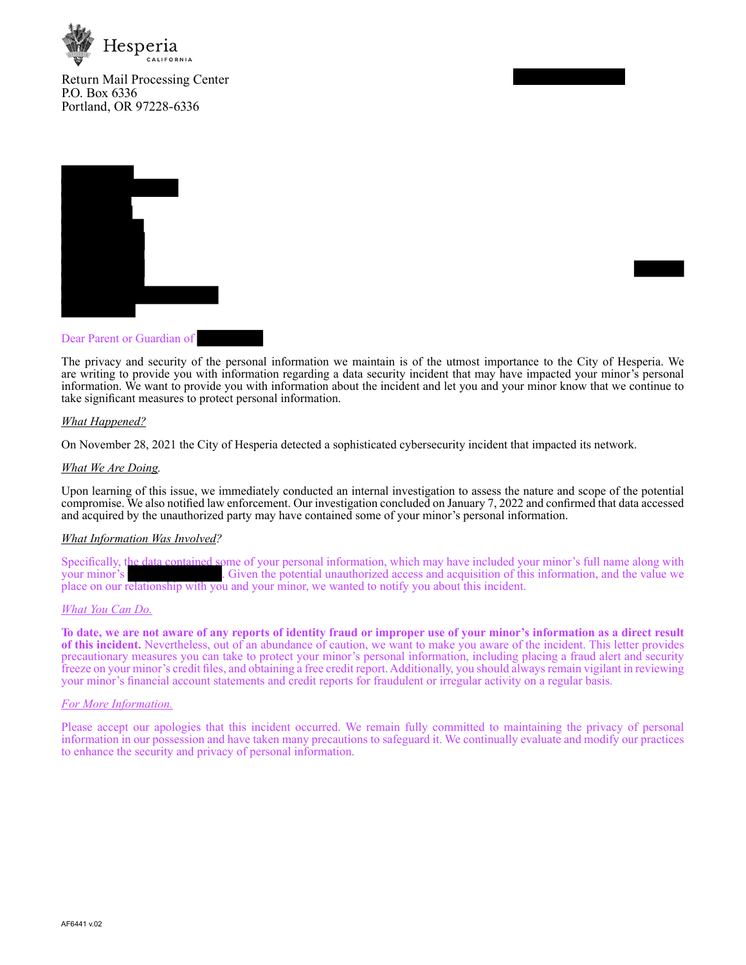

Return Mail Processing Center P.O. Box 6336 Portland, OR 97228-6336



## Dear Parent or Guardian of

The privacy and security of the personal information we maintain is of the utmost importance to the City of Hesperia. We are writing to provide you with information regarding a data security incident that may have impacted your minor's personal information. We want to provide you with information about the incident and let you and your minor know that we continue to take significant measures to protect personal information.

### *What Happened?*

On November 28, 2021 the City of Hesperia detected a sophisticated cybersecurity incident that impacted its network.

### *What We Are Doing.*

Upon learning of this issue, we immediately conducted an internal investigation to assess the nature and scope of the potential compromise. We also notified law enforcement. Our investigation concluded on January 7, 2022 and confirmed that data accessed and acquired by the unauthorized party may have contained some of your minor's personal information.

#### *What Information Was Involved?*

Specifically, the data contained some of your personal information, which may have included your minor's full name along with . Given the potential unauthorized access and acquisition of this information, and the value we place on our relationship with you and your minor, we wanted to notify you about this incident.

#### *What You Can Do.*

**To date, we are not aware of any reports of identity fraud or improper use of your minor's information as a direct result of this incident.** Nevertheless, out of an abundance of caution, we want to make you aware of the incident. This letter provides precautionary measures you can take to protect your minor's personal information, including placing a fraud alert and security freeze on your minor's credit files, and obtaining a free credit report. Additionally, you should always remain vigilant in reviewing your minor's financial account statements and credit reports for fraudulent or irregular activity on a regular basis.

### *For More Information.*

Please accept our apologies that this incident occurred. We remain fully committed to maintaining the privacy of personal information in our possession and have taken many precautions to safeguard it. We continually evaluate and modify our practices to enhance the security and privacy of personal information.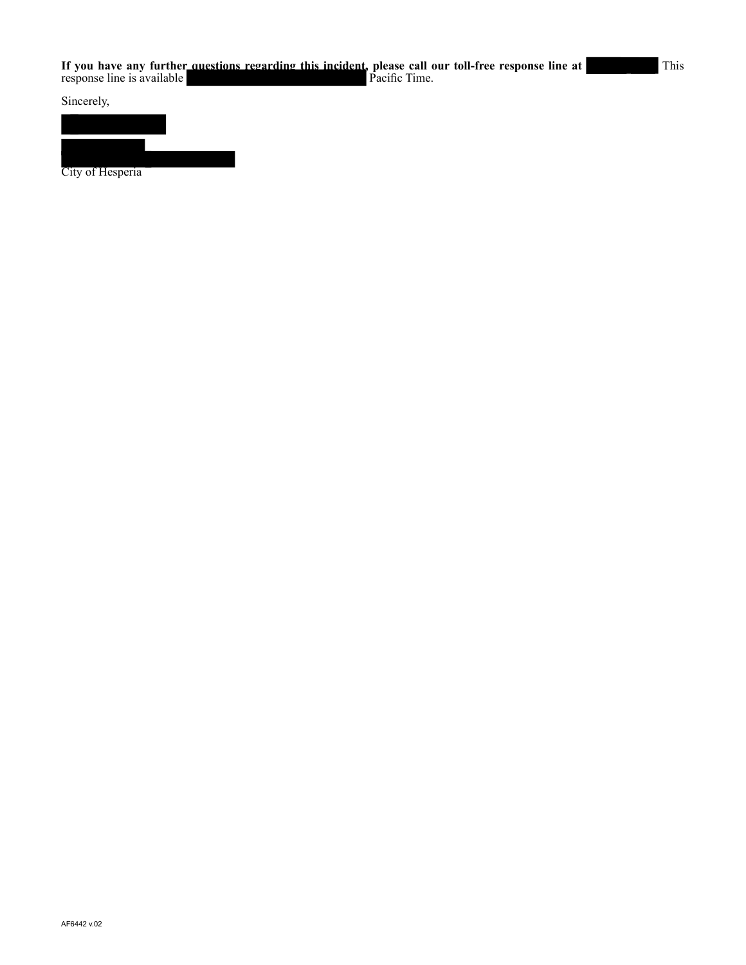Sincerely,



City of Hesperia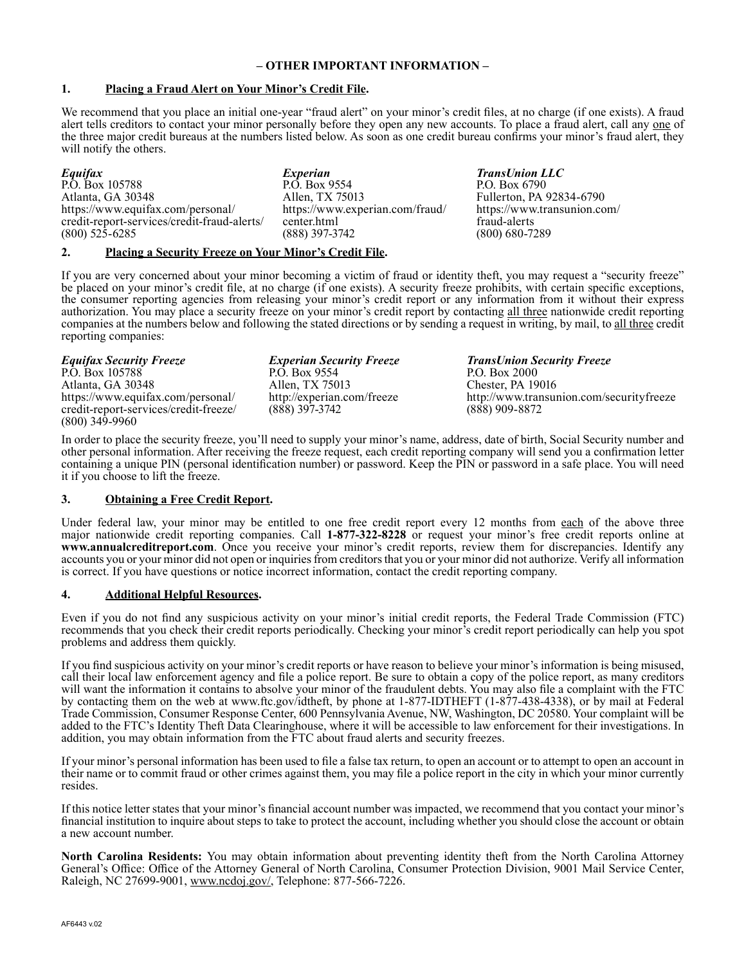## **– OTHER IMPORTANT INFORMATION –**

## **1. Placing a Fraud Alert on Your Minor's Credit File.**

We recommend that you place an initial one-year "fraud alert" on your minor's credit files, at no charge (if one exists). A fraud alert tells creditors to contact your minor personally before they open any new accounts. To place a fraud alert, call any one of the three major credit bureaus at the numbers listed below. As soon as one credit bureau confirms your minor's fraud alert, they will notify the others.

*Equifax* P.O. Box 105788 Atlanta, GA 30348 https://www.equifax.com/personal/ credit-report-services/credit-fraud-alerts/ (800) 525-6285

*Experian*  P.O. Box 9554 Allen, TX 75013 https://www.experian.com/fraud/ center.html (888) 397-3742

*TransUnion LLC* P.O. Box 6790 Fullerton, PA 92834-6790 https://www.transunion.com/ fraud-alerts (800) 680-7289

## **2. Placing a Security Freeze on Your Minor's Credit File.**

If you are very concerned about your minor becoming a victim of fraud or identity theft, you may request a "security freeze" be placed on your minor's credit file, at no charge (if one exists). A security freeze prohibits, with certain specific exceptions, the consumer reporting agencies from releasing your minor's credit report or any information from it without their express authorization. You may place a security freeze on your minor's credit report by contacting all three nationwide credit reporting companies at the numbers below and following the stated directions or by sending a request in writing, by mail, to all three credit reporting companies:

*Equifax Security Freeze* P.O. Box 105788 Atlanta, GA 30348 https://www.equifax.com/personal/ credit-report-services/credit-freeze/ (800) 349-9960

*Experian Security Freeze* P.O. Box 9554 Allen, TX 75013 http://experian.com/freeze (888) 397-3742

*TransUnion Security Freeze* P.O. Box 2000 Chester, PA 19016 http://www.transunion.com/securityfreeze (888) 909-8872

In order to place the security freeze, you'll need to supply your minor's name, address, date of birth, Social Security number and other personal information. After receiving the freeze request, each credit reporting company will send you a confirmation letter containing a unique PIN (personal identification number) or password. Keep the PIN or password in a safe place. You will need it if you choose to lift the freeze.

# **3. Obtaining a Free Credit Report.**

Under federal law, your minor may be entitled to one free credit report every 12 months from each of the above three major nationwide credit reporting companies. Call **1-877-322-8228** or request your minor's free credit reports online at **www.annualcreditreport.com**. Once you receive your minor's credit reports, review them for discrepancies. Identify any accounts you or your minor did not open or inquiries from creditors that you or your minor did not authorize. Verify all information is correct. If you have questions or notice incorrect information, contact the credit reporting company.

## **4. Additional Helpful Resources.**

Even if you do not find any suspicious activity on your minor's initial credit reports, the Federal Trade Commission (FTC) recommends that you check their credit reports periodically. Checking your minor's credit report periodically can help you spot problems and address them quickly.

If you find suspicious activity on your minor's credit reports or have reason to believe your minor's information is being misused, call their local law enforcement agency and file a police report. Be sure to obtain a copy of the police report, as many creditors will want the information it contains to absolve your minor of the fraudulent debts. You may also file a complaint with the FTC by contacting them on the web at www.ftc.gov/idtheft, by phone at 1-877-IDTHEFT (1-877-438-4338), or by mail at Federal Trade Commission, Consumer Response Center, 600 Pennsylvania Avenue, NW, Washington, DC 20580. Your complaint will be added to the FTC's Identity Theft Data Clearinghouse, where it will be accessible to law enforcement for their investigations. In addition, you may obtain information from the FTC about fraud alerts and security freezes.

If your minor's personal information has been used to file a false tax return, to open an account or to attempt to open an account in their name or to commit fraud or other crimes against them, you may file a police report in the city in which your minor currently resides.

If this notice letter states that your minor's financial account number was impacted, we recommend that you contact your minor's financial institution to inquire about steps to take to protect the account, including whether you should close the account or obtain a new account number.

**North Carolina Residents:** You may obtain information about preventing identity theft from the North Carolina Attorney General's Office: Office of the Attorney General of North Carolina, Consumer Protection Division, 9001 Mail Service Center, Raleigh, NC 27699-9001, www.ncdoj.gov/, Telephone: 877-566-7226.